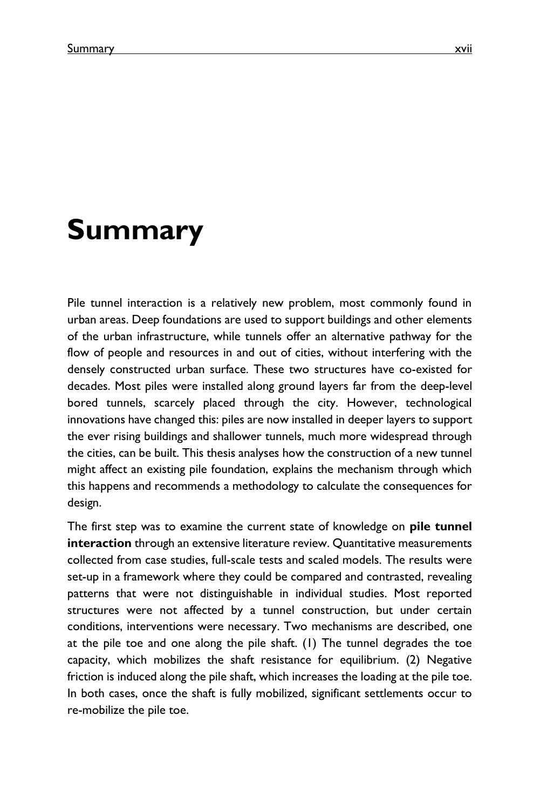## **Summary**

Pile tunnel interaction is a relatively new problem, most commonly found in urban areas. Deep foundations are used to support buildings and other elements of the urban infrastructure, while tunnels offer an alternative pathway for the flow of people and resources in and out of cities, without interfering with the densely constructed urban surface. These two structures have co-existed for decades. Most piles were installed along ground layers far from the deep-level bored tunnels, scarcely placed through the city. However, technological innovations have changed this: piles are now installed in deeper layers to support the ever rising buildings and shallower tunnels, much more widespread through the cities, can be built. This thesis analyses how the construction of a new tunnel might affect an existing pile foundation, explains the mechanism through which this happens and recommends a methodology to calculate the consequences for design.

The first step was to examine the current state of knowledge on **pile tunnel interaction** through an extensive literature review. Quantitative measurements collected from case studies, full-scale tests and scaled models. The results were set-up in a framework where they could be compared and contrasted, revealing patterns that were not distinguishable in individual studies. Most reported structures were not affected by a tunnel construction, but under certain conditions, interventions were necessary. Two mechanisms are described, one at the pile toe and one along the pile shaft. (1) The tunnel degrades the toe capacity, which mobilizes the shaft resistance for equilibrium. (2) Negative friction is induced along the pile shaft, which increases the loading at the pile toe. In both cases, once the shaft is fully mobilized, significant settlements occur to re-mobilize the pile toe.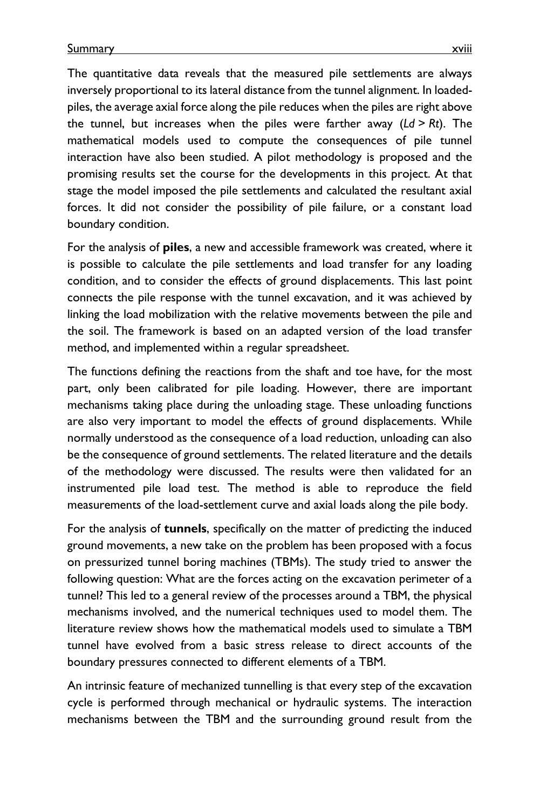The quantitative data reveals that the measured pile settlements are always inversely proportional to its lateral distance from the tunnel alignment. In loadedpiles, the average axial force along the pile reduces when the piles are right above the tunnel, but increases when the piles were farther away (*Ld* > *Rt*). The mathematical models used to compute the consequences of pile tunnel interaction have also been studied. A pilot methodology is proposed and the promising results set the course for the developments in this project. At that stage the model imposed the pile settlements and calculated the resultant axial forces. It did not consider the possibility of pile failure, or a constant load boundary condition.

For the analysis of **piles**, a new and accessible framework was created, where it is possible to calculate the pile settlements and load transfer for any loading condition, and to consider the effects of ground displacements. This last point connects the pile response with the tunnel excavation, and it was achieved by linking the load mobilization with the relative movements between the pile and the soil. The framework is based on an adapted version of the load transfer method, and implemented within a regular spreadsheet.

The functions defining the reactions from the shaft and toe have, for the most part, only been calibrated for pile loading. However, there are important mechanisms taking place during the unloading stage. These unloading functions are also very important to model the effects of ground displacements. While normally understood as the consequence of a load reduction, unloading can also be the consequence of ground settlements. The related literature and the details of the methodology were discussed. The results were then validated for an instrumented pile load test. The method is able to reproduce the field measurements of the load-settlement curve and axial loads along the pile body.

For the analysis of **tunnels**, specifically on the matter of predicting the induced ground movements, a new take on the problem has been proposed with a focus on pressurized tunnel boring machines (TBMs). The study tried to answer the following question: What are the forces acting on the excavation perimeter of a tunnel? This led to a general review of the processes around a TBM, the physical mechanisms involved, and the numerical techniques used to model them. The literature review shows how the mathematical models used to simulate a TBM tunnel have evolved from a basic stress release to direct accounts of the boundary pressures connected to different elements of a TBM.

An intrinsic feature of mechanized tunnelling is that every step of the excavation cycle is performed through mechanical or hydraulic systems. The interaction mechanisms between the TBM and the surrounding ground result from the